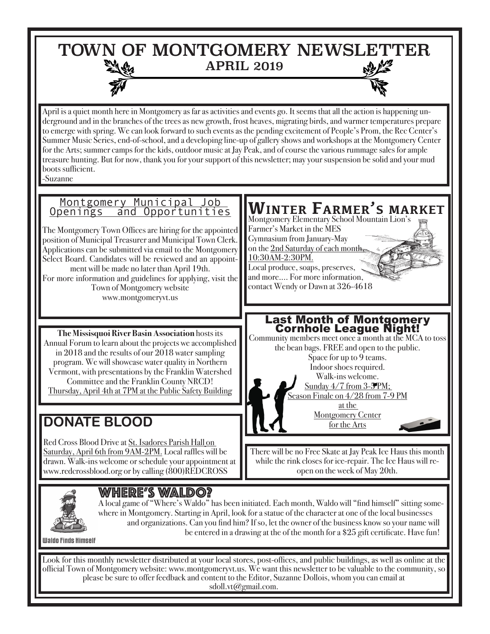## TOWN OF MONTGOMERY NEWSLETTER APRIL 2019

April is a quiet month here in Montgomery as far as activities and events go. It seems that all the action is happening underground and in the branches of the trees as new growth, frost heaves, migrating birds, and warmer temperatures prepare to emerge with spring. We can look forward to such events as the pending excitement of People's Prom, the Rec Center's Summer Music Series, end-of-school, and a developing line-up of gallery shows and workshops at the Montgomery Center for the Arts; summer camps for the kids, outdoor music at Jay Peak, and of course the various rummage sales for ample treasure hunting. But for now, thank you for your support of this newsletter; may your suspension be solid and your mud boots sufficient.

-Suzanne

## **The Missisquoi River Basin Association** hosts its Annual Forum to learn about the projects we accomplished in 2018 and the results of our 2018 water sampling program. We will showcase water quality in Northern Vermont, with presentations by the Franklin Watershed Committee and the Franklin County NRCD! Thursday, April 4th at 7PM at the Public Safety Building Last Month of Montgomery Cornhole League Night! Community members meet once a month at the MCA to toss the bean bags. FREE and open to the public. Space for up to 9 teams. Indoor shoes required. Walk-ins welcome. Sunday  $4/7$  from 3- $\mathbf{\mathcal{F}}$ PM; Season Finale on 4/28 from 7-9 PM at the **DONATE BLOOD Solution DONATE BLOOD Solution DONATE BLOOD External Solution** *Solution**for the Arts* Red Cross Blood Drive at St. Isadores Parish Hall on Saturday, April 6th from 9AM-2PM. Local raffles will be drawn. Walk-ins welcome or schedule your appointment at www.redcrossblood.org or by calling (800)REDCROSS **Winter Farmer's market** Montgomery Elementary School Mountain Lion's Farmer's Market in the MES Gymnasium from January-May on the 2nd Saturday of each month, 10:30AM-2:30PM. Local produce, soaps, preserves, and more.... For more information, contact Wendy or Dawn at 326-4618 Montgomery Municipal Job Openings and Opportunities The Montgomery Town Offices are hiring for the appointed position of Municipal Treasurer and Municipal Town Clerk. Applications can be submitted via email to the Montgomery Select Board. Candidates will be reviewed and an appointment will be made no later than April 19th. For more information and guidelines for applying, visit the Town of Montgomery website www.montgomeryvt.us There will be no Free Skate at Jay Peak Ice Haus this month while the rink closes for ice-repair. The Ice Haus will reopen on the week of May 20th. Where's Waldo? A local game of "Where's Waldo" has been initiated. Each month, Waldo will "find himself" sitting some where in Montgomery. Starting in April, look for a statue of the character at one of the local businesses

and organizations. Can you find him? If so, let the owner of the business know so your name will be entered in a drawing at the of the month for a \$25 gift certificate. Have fun!

**Waldo Finds Himself** 

Look for this monthly newsletter distributed at your local stores, post-offices, and public buildings, as well as online at the official Town of Montgomery website: www.montgomeryvt.us. We want this newsletter to be valuable to the community, so please be sure to offer feedback and content to the Editor, Suzanne Dollois, whom you can email at sdoll.vt@gmail.com.